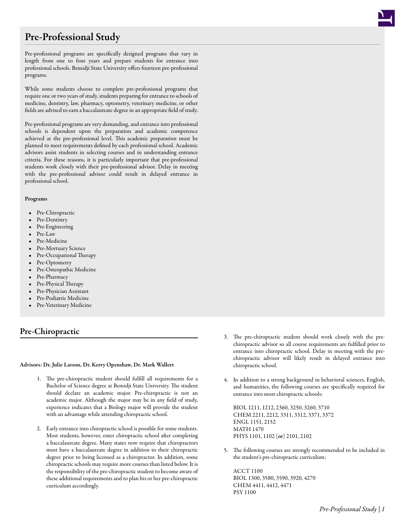# Pre-Professional Study

Pre-professional programs are specifically designed programs that vary in length from one to four years and prepare students for entrance into professional schools. Bemidji State University offers fourteen pre-professional programs.

While some students choose to complete pre-professional programs that require one or two years of study, students preparing for entrance to schools of medicine, dentistry, law, pharmacy, optometry, veterinary medicine, or other fields are advised to earn a baccalaureate degree in an appropriate field of study.

Pre-professional programs are very demanding, and entrance into professional schools is dependent upon the preparation and academic competence achieved at the pre-professional level. This academic preparation must be planned to meet requirements defined by each professional school. Academic advisors assist students in selecting courses and in understanding entrance criteria. For these reasons, it is particularly important that pre-professional students work closely with their pre-professional advisor. Delay in meeting with the pre-professional advisor could result in delayed entrance in professional school.

# Programs

- Pre-Chiropractic
- Pre-Dentistry
- Pre-Engineering
- Pre-Law
- Pre-Medicine
- Pre-Mortuary Science
- Pre-Occupational Therapy
- Pre-Optometry
- Pre-Osteopathic Medicine
- Pre-Pharmacy
- Pre-Physical Therapy
- Pre-Physician Assistant
- Pre-Podiatric Medicine
- Pre-Veterinary Medicine

# Pre-Chiropractic

# Advisors: Dr. Julie Larson, Dr. Kerry Openshaw, Dr. Mark Wallert

- 1. The pre-chiropractic student should fulfill all requirements for a Bachelor of Science degree at Bemidji State University. The student should declare an academic major. Pre-chiropractic is not an academic major. Although the major may be in any field of study, experience indicates that a Biology major will provide the student with an advantage while attending chiropractic school.
- 2. Early entrance into chiropractic school is possible for some students. Most students, however, enter chiropractic school after completing a baccalaureate degree. Many states now require that chiropractors must have a baccalaureate degree in addition to their chiropractic degree prior to being licensed as a chiropractor. In addition, some chiropractic schools may require more courses than listed below. It is the responsibility of the pre-chiropractic student to become aware of these additional requirements and to plan his or her pre-chiropractic curriculum accordingly.
- 3. The pre-chiropractic student should work closely with the prechiropractic advisor so all course requirements are fulfilled prior to entrance into chiropractic school. Delay in meeting with the prechiropractic advisor will likely result in delayed entrance into chiropractic school.
- 4. In addition to a strong background in behavioral sciences, English, and humanities, the following courses are specifically required for entrance into most chiropractic schools:

BIOL 1211, 1212, 2360, 3250, 3260, 3710 CHEM 2211, 2212, 3311, 3312, 3371, 3372 ENGL 1151, 2152 MATH 1470 PHYS 1101, 1102 (or) 2101, 2102

5. The following courses are strongly recommended to be included in the student's pre-chiropractic curriculum:

ACCT 1100 BIOL 1300, 3580, 3590, 3920, 4270 CHEM 4411, 4412, 4471 PSY 1100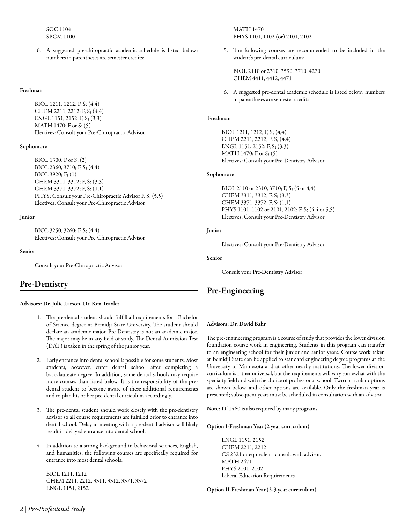SOC 1104 SPCM 1100

6. A suggested pre-chiropractic academic schedule is listed below; numbers in parentheses are semester credits:

# Freshman

BIOL 1211, 1212; F, S; (4,4) CHEM 2211, 2212; F, S; (4,4) ENGL 1151, 2152; F, S; (3,3) MATH 1470; F or S; (5) Electives: Consult your Pre-Chiropractic Advisor

## Sophomore

BIOL 1300; F or S; (2) BIOL 2360, 3710; F, S; (4,4) BIOL 3920; F; (1) CHEM 3311, 3312; F, S; (3,3) CHEM 3371, 3372; F, S; (1,1) PHYS: Consult your Pre-Chiropractic Advisor F, S; (5,5) Electives: Consult your Pre-Chiropractic Advisor

# Junior

BIOL 3250, 3260; F, S; (4,4) Electives: Consult your Pre-Chiropractic Advisor

#### Senior

Consult your Pre-Chiropractic Advisor

# Pre-Dentistry

### Advisors: Dr. Julie Larson, Dr. Ken Traxler

- 1. The pre-dental student should fulfill all requirements for a Bachelor of Science degree at Bemidji State University. The student should declare an academic major. Pre-Dentistry is not an academic major. The major may be in any field of study. The Dental Admission Test (DAT) is taken in the spring of the junior year.
- 2. Early entrance into dental school is possible for some students. Most students, however, enter dental school after completing a baccalaureate degree. In addition, some dental schools may require more courses than listed below. It is the responsibility of the predental student to become aware of these additional requirements and to plan his or her pre-dental curriculum accordingly.
- 3. The pre-dental student should work closely with the pre-dentistry advisor so all course requirements are fulfilled prior to entrance into dental school. Delay in meeting with a pre-dental advisor will likely result in delayed entrance into dental school.
- 4. In addition to a strong background in behavioral sciences, English, and humanities, the following courses are specifically required for entrance into most dental schools:

BIOL 1211, 1212 CHEM 2211, 2212, 3311, 3312, 3371, 3372 ENGL 1151, 2152

MATH 1470 PHYS 1101, 1102 (or) 2101, 2102

5. The following courses are recommended to be included in the student's pre-dental curriculum:

BIOL 2110 or 2310, 3590, 3710, 4270 CHEM 4411, 4412, 4471

6. A suggested pre-dental academic schedule is listed below; numbers in parentheses are semester credits:

# Freshman

BIOL 1211, 1212; F, S; (4,4) CHEM 2211, 2212; F, S; (4,4) ENGL 1151, 2152; F, S; (3,3) MATH 1470; F or S; (5) Electives: Consult your Pre-Dentistry Advisor

# Sophomore

BIOL 2110 or 2310, 3710; F, S; (5 or 4,4) CHEM 3311, 3312; F, S; (3,3) CHEM 3371, 3372; F, S; (1,1) PHYS 1101, 1102 or 2101, 2102; F, S; (4,4 or 5,5) Electives: Consult your Pre-Dentistry Advisor

### Junior

Electives: Consult your Pre-Dentistry Advisor

### Senior

Consult your Pre-Dentistry Advisor

# Pre-Engineering

### Advisors: Dr. David Bahr

The pre-engineering program is a course of study that provides the lower division foundation course work in engineering. Students in this program can transfer to an engineering school for their junior and senior years. Course work taken at Bemidji State can be applied to standard engineering degree programs at the University of Minnesota and at other nearby institutions. The lower division curriculum is rather universal, but the requirements will vary somewhat with the specialty field and with the choice of professional school. Two curricular options are shown below, and other options are available. Only the freshman year is presented; subsequent years must be scheduled in consultation with an advisor.

Note: IT 1460 is also required by many programs.

### Option I-Freshman Year (2 year curriculum)

ENGL 1151, 2152 CHEM 2211, 2212 CS 2321 or equivalent; consult with advisor. MATH 2471 PHYS 2101, 2102 Liberal Education Requirements

Option II-Freshman Year (2-3 year curriculum)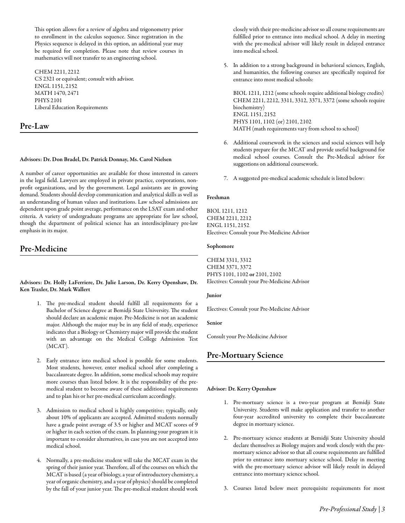This option allows for a review of algebra and trigonometry prior to enrollment in the calculus sequence. Since registration in the Physics sequence is delayed in this option, an additional year may be required for completion. Please note that review courses in mathematics will not transfer to an engineering school.

CHEM 2211, 2212 CS 2321 or equivalent; consult with advisor. ENGL 1151, 2152 MATH 1470, 2471 PHYS 2101 Liberal Education Requirements

# Pre-Law

# Advisors: Dr. Don Bradel, Dr. Patrick Donnay, Ms. Carol Nielsen

A number of career opportunities are available for those interested in careers in the legal field. Lawyers are employed in private practice, corporations, nonprofit organizations, and by the government. Legal assistants are in growing demand. Students should develop communication and analytical skills as well as an understanding of human values and institutions. Law school admissions are dependent upon grade point average, performance on the LSAT exam and other criteria. A variety of undergraduate programs are appropriate for law school, though the department of political science has an interdisciplinary pre-law emphasis in its major.

# Pre-Medicine

Advisors: Dr. Holly LaFerriere, Dr. Julie Larson, Dr. Kerry Openshaw, Dr. Ken Traxler, Dr. Mark Wallert

- 1. The pre-medical student should fulfill all requirements for a Bachelor of Science degree at Bemidji State University. The student should declare an academic major. Pre-Medicine is not an academic major. Although the major may be in any field of study, experience indicates that a Biology or Chemistry major will provide the student with an advantage on the Medical College Admission Test (MCAT).
- 2. Early entrance into medical school is possible for some students. Most students, however, enter medical school after completing a baccalaureate degree. In addition, some medical schools may require more courses than listed below. It is the responsibility of the premedical student to become aware of these additional requirements and to plan his or her pre-medical curriculum accordingly.
- 3. Admission to medical school is highly competitive; typically, only about 10% of applicants are accepted. Admitted students normally have a grade point average of 3.5 or higher and MCAT scores of 9 or higher in each section of the exam. In planning your program it is important to consider alternatives, in case you are not accepted into medical school.
- 4. Normally, a pre-medicine student will take the MCAT exam in the spring of their junior year. Therefore, all of the courses on which the MCAT is based (a year of biology, a year of introductory chemistry, a year of organic chemistry, and a year of physics) should be completed by the fall of your junior year. The pre-medical student should work

closely with their pre-medicine advisor so all course requirements are fulfilled prior to entrance into medical school. A delay in meeting with the pre-medical advisor will likely result in delayed entrance into medical school.

5. In addition to a strong background in behavioral sciences, English, and humanities, the following courses are specifically required for entrance into most medical schools:

BIOL 1211, 1212 (some schools require additional biology credits) CHEM 2211, 2212, 3311, 3312, 3371, 3372 (some schools require biochemistry) ENGL 1151, 2152 PHYS 1101, 1102 (or) 2101, 2102 MATH (math requirements vary from school to school)

- 6. Additional coursework in the sciences and social sciences will help students prepare for the MCAT and provide useful background for medical school courses. Consult the Pre-Medical advisor for suggestions on additional coursework.
- 7. A suggested pre-medical academic schedule is listed below:

### Freshman

BIOL 1211, 1212 CHEM 2211, 2212 ENGL 1151, 2152 Electives: Consult your Pre-Medicine Advisor

#### Sophomore

CHEM 3311, 3312 CHEM 3371, 3372 PHYS 1101, 1102 or 2101, 2102 Electives: Consult your Pre-Medicine Advisor

#### Junior

Electives: Consult your Pre-Medicine Advisor

### Senior

Consult your Pre-Medicine Advisor

# Pre-Mortuary Science

### Advisor: Dr. Kerry Openshaw

- 1. Pre-mortuary science is a two-year program at Bemidji State University. Students will make application and transfer to another four-year accredited university to complete their baccalaureate degree in mortuary science.
- 2. Pre-mortuary science students at Bemidji State University should declare themselves as Biology majors and work closely with the premortuary science advisor so that all course requirements are fulfilled prior to entrance into mortuary science school. Delay in meeting with the pre-mortuary science advisor will likely result in delayed entrance into mortuary science school.
- 3. Courses listed below meet prerequisite requirements for most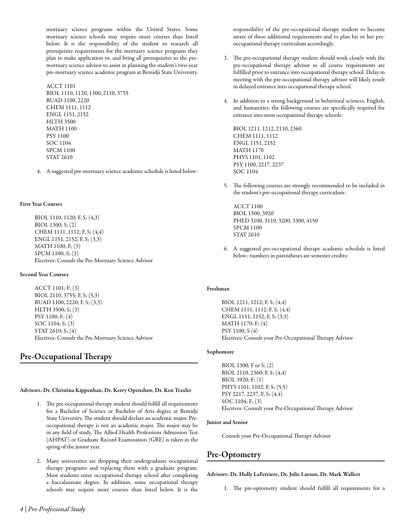mortuary science programs within the United States. Some mortuary science schools may require more courses than listed below. It is the responsibility of the student to research all prerequisite requirements for the mortuary science programs they plan to make application to, and bring all prerequisites to the premortuary science advisor to assist in planning the student's two-year pre-mortuary science academic program at Bemidji State University.

# ACCT 1101 BIOL 1110, 1120, 1300, 2110, 3755 BUAD 1100, 2220 CHEM 1111, 1112 ENGL 1151, 2152 HLTH 3500 MATH 1100 PSY 1100 SOC 1104 SPCM 1100 STAT 2610

4. A suggested pre-mortuary science academic schedule is listed below:

# First Year Courses

BIOL 1110, 1120; F, S; (4,3) BIOL 1300; S; (2) CHEM 1111, 1112; F, S; (4,4) ENGL 1151, 2152; F, S; (3,3) MATH 1100; F; (3) SPCM 1100; S; (3) Electives: Consult the Pre-Mortuary Science Advisor

# Second Year Courses

ACCT 1101; F; (3) BIOL 2110, 3755; F, S; (5,3) BUAD 1100, 2220; F, S; (3,3) HLTH 3500; S; (3) PSY 1100; F; (4) SOC 1104; S; (3) STAT 2610; S; (4) Electives: Consult the Pre-Mortuary Science Advisor

# Pre-Occupational Therapy

Advisors: Dr. Christina Kippenhan, Dr. Kerry Openshaw, Dr. Ken Traxler

- 1. The pre-occupational therapy student should fulfill all requirements for a Bachelor of Science or Bachelor of Arts degree at Bemidji State University. The student should declare an academic major. Preoccupational therapy is not an academic major. The major may be in any field of study. The Allied Health Professions Admission Test (AHPAT) or Graduate Record Examination (GRE) is taken in the spring of the junior year.
- 2. Many universities are dropping their undergraduate occupational therapy programs and replacing them with a graduate program. Most students enter occupational therapy school after completing a baccalaureate degree. In addition, some occupational therapy schools may require more courses than listed below. It is the

responsibility of the pre-occupational therapy student to become aware of these additional requirements and to plan his or her preoccupational therapy curriculum accordingly.

- 3. The pre-occupational therapy student should work closely with the pre-occupational therapy advisor so all course requirements are fulfilled prior to entrance into occupational therapy school. Delay in meeting with the pre-occupational therapy advisor will likely result in delayed entrance into occupational therapy school.
- 4. In addition to a strong background in behavioral sciences, English, and humanities, the following courses are specifically required for entrance into most occupational therapy schools:

BIOL 1211, 1212, 2110, 2360 CHEM 1111, 1112 ENGL 1151, 2152 MATH 1170 PHYS 1101, 1102 PSY 1100, 2217, 2237 SOC 1104

5. The following courses are strongly recommended to be included in the student's pre-occupational therapy curriculum:

ACCT 1100 BIOL 1300, 3920 PHED 3100, 3110, 3200, 3300, 4150 SPCM 1100 STAT 2610

6. A suggested pre-occupational therapy academic schedule is listed below; numbers in parentheses are semester credits:

# Freshman

BIOL 1211, 1212; F, S; (4,4) CHEM 1111, 1112; F, S; (4,4) ENGL 1151, 2152; F, S; (3,3) MATH 1170; F; (4) PSY 1100; S (4) Electives: Consult your Pre-Occupational Therapy Advisor

# Sophomore

BIOL 1300; F or S; (2) BIOL 2110, 2360; F, S; (4,4) BIOL 3920; F; (1) PHYS 1101, 1102; F, S; (5,5) PSY 2217, 2237; F, S; (4,4) SOC 1104; F; (3) Electives: Consult your Pre-Occupational Therapy Advisor

# Junior and Senior

Consult your Pre-Occupational Therapy Advisor

# Pre-Optometry

# Advisors: Dr. Holly LaFerriere, Dr. Julie Larson, Dr. Mark Wallert

1. The pre-optometry student should fulfill all requirements for a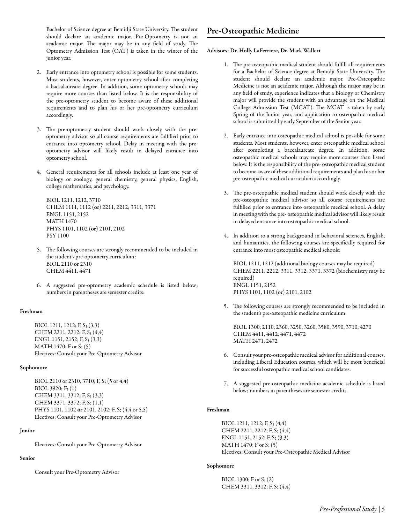Bachelor of Science degree at Bemidji State University. The student should declare an academic major. Pre-Optometry is not an academic major. The major may be in any field of study. The Optometry Admission Test (OAT) is taken in the winter of the junior year.

- 2. Early entrance into optometry school is possible for some students. Most students, however, enter optometry school after completing a baccalaureate degree. In addition, some optometry schools may require more courses than listed below. It is the responsibility of the pre-optometry student to become aware of these additional requirements and to plan his or her pre-optometry curriculum accordingly.
- 3. The pre-optometry student should work closely with the preoptometry advisor so all course requirements are fulfilled prior to entrance into optometry school. Delay in meeting with the preoptometry advisor will likely result in delayed entrance into optometry school.
- 4. General requirements for all schools include at least one year of biology or zoology, general chemistry, general physics, English, college mathematics, and psychology.

BIOL 1211, 1212, 3710 CHEM 1111, 1112 (or) 2211, 2212; 3311, 3371 ENGL 1151, 2152 MATH 1470 PHYS 1101, 1102 (or) 2101, 2102 PSY 1100

- 5. The following courses are strongly recommended to be included in the student's pre-optometry curriculum: BIOL 2110 or 2310 CHEM 4411, 4471
- 6. A suggested pre-optometry academic schedule is listed below; numbers in parentheses are semester credits:

# Freshman

BIOL 1211, 1212; F, S; (3,3) CHEM 2211, 2212; F, S; (4,4) ENGL 1151, 2152; F, S; (3,3) MATH 1470; F or S; (5) Electives: Consult your Pre-Optometry Advisor

## Sophomore

BIOL 2110 or 2310, 3710; F, S; (5 or 4,4) BIOL 3920; F; (1) CHEM 3311, 3312; F, S; (3,3) CHEM 3371, 3372; F, S; (1,1) PHYS 1101, 1102 or 2101, 2102; F, S; (4,4 or 5,5) Electives: Consult your Pre-Optometry Advisor

# Junior

Electives: Consult your Pre-Optometry Advisor

# Senior

Consult your Pre-Optometry Advisor

# Advisors: Dr. Holly LaFerriere, Dr. Mark Wallert

- 1. The pre-osteopathic medical student should fulfill all requirements for a Bachelor of Science degree at Bemidji State University. The student should declare an academic major. Pre-Osteopathic Medicine is not an academic major. Although the major may be in any field of study, experience indicates that a Biology or Chemistry major will provide the student with an advantage on the Medical College Admission Test (MCAT). The MCAT is taken by early Spring of the Junior year, and application to osteopathic medical school is submitted by early September of the Senior year.
- 2. Early entrance into osteopathic medical school is possible for some students. Most students, however, enter osteopathic medical school after completing a baccalaureate degree. In addition, some osteopathic medical schools may require more courses than listed below. It is the responsibility of the pre- osteopathic medical student to become aware of these additional requirements and plan his or her pre-osteopathic medical curriculum accordingly.
- 3. The pre-osteopathic medical student should work closely with the pre-osteopathic medical advisor so all course requirements are fulfilled prior to entrance into osteopathic medical school. A delay in meeting with the pre- osteopathic medical advisor will likely result in delayed entrance into osteopathic medical school.
- 4. In addition to a strong background in behavioral sciences, English, and humanities, the following courses are specifically required for entrance into most osteopathic medical schools:

BIOL 1211, 1212 (additional biology courses may be required) CHEM 2211, 2212, 3311, 3312, 3371, 3372 (biochemistry may be required) ENGL 1151, 2152 PHYS 1101, 1102 (or) 2101, 2102

5. The following courses are strongly recommended to be included in the student's pre-osteopathic medicine curriculum:

BIOL 1300, 2110, 2360, 3250, 3260, 3580, 3590, 3710, 4270 CHEM 4411, 4412, 4471, 4472 MATH 2471, 2472

- 6. Consult your pre-osteopathic medical advisor for additional courses, including Liberal Education courses, which will be most beneficial for successful osteopathic medical school candidates.
- 7. A suggested pre-osteopathic medicine academic schedule is listed below; numbers in parentheses are semester credits.

# Freshman

BIOL 1211, 1212; F, S; (4,4) CHEM 2211, 2212; F, S; (4,4) ENGL 1151, 2152; F, S; (3,3) MATH 1470; F or S; (5) Electives: Consult your Pre-Osteopathic Medical Advisor

# Sophomore

BIOL 1300; F or S; (2) CHEM 3311, 3312; F, S; (4,4)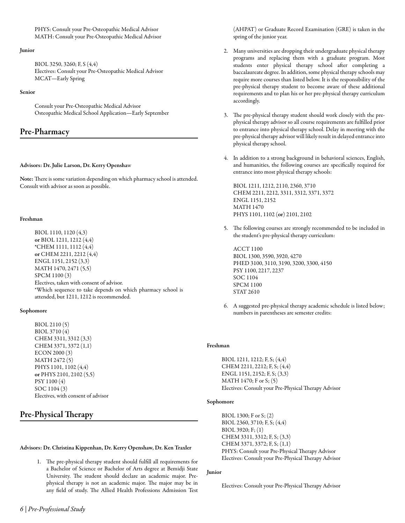PHYS: Consult your Pre-Osteopathic Medical Advisor MATH: Consult your Pre-Osteopathic Medical Advisor

### Junior

BIOL 3250, 3260; F, S (4,4) Electives: Consult your Pre-Osteopathic Medical Advisor MCAT—Early Spring

### Senior

Consult your Pre-Osteopathic Medical Advisor Osteopathic Medical School Application—Early September

# Pre-Pharmacy

# Advisors: Dr. Julie Larson, Dr. Kerry Openshaw

Note: There is some variation depending on which pharmacy school is attended. Consult with advisor as soon as possible.

# Freshman

BIOL 1110, 1120 (4,3) or BIOL 1211, 1212 (4,4) \*CHEM 1111, 1112 (4,4) or CHEM 2211, 2212 (4,4) ENGL 1151, 2152 (3,3) MATH 1470, 2471 (5,5) SPCM 1100 (3) Electives, taken with consent of advisor. \*Which sequence to take depends on which pharmacy school is attended, but 1211, 1212 is recommended.

# Sophomore

BIOL 2110 (5) BIOL 3710 (4) CHEM 3311, 3312 (3,3) CHEM 3371, 3372 (1,1) ECON 2000 (3) MATH 2472 (5) PHYS 1101, 1102 (4,4) or PHYS 2101, 2102 (5,5) PSY 1100 (4) SOC 1104 (3) Electives, with consent of advisor

# Pre-Physical Therapy

# Advisors: Dr. Christina Kippenhan, Dr. Kerry Openshaw, Dr. Ken Traxler

1. The pre-physical therapy student should fulfill all requirements for a Bachelor of Science or Bachelor of Arts degree at Bemidji State University. The student should declare an academic major. Prephysical therapy is not an academic major. The major may be in any field of study. The Allied Health Professions Admission Test (AHPAT) or Graduate Record Examination (GRE) is taken in the spring of the junior year.

- 2. Many universities are dropping their undergraduate physical therapy programs and replacing them with a graduate program. Most students enter physical therapy school after completing a baccalaureate degree. In addition, some physical therapy schools may require more courses than listed below. It is the responsibility of the pre-physical therapy student to become aware of these additional requirements and to plan his or her pre-physical therapy curriculum accordingly.
- 3. The pre-physical therapy student should work closely with the prephysical therapy advisor so all course requirements are fulfilled prior to entrance into physical therapy school. Delay in meeting with the pre-physical therapy advisor will likely result in delayed entrance into physical therapy school.
- 4. In addition to a strong background in behavioral sciences, English, and humanities, the following courses are specifically required for entrance into most physical therapy schools:

BIOL 1211, 1212, 2110, 2360, 3710 CHEM 2211, 2212, 3311, 3312, 3371, 3372 ENGL 1151, 2152 MATH 1470 PHYS 1101, 1102 (or) 2101, 2102

5. The following courses are strongly recommended to be included in the student's pre-physical therapy curriculum:

ACCT 1100 BIOL 1300, 3590, 3920, 4270 PHED 3100, 3110, 3190, 3200, 3300, 4150 PSY 1100, 2217, 2237 SOC 1104 SPCM 1100 STAT 2610

6. A suggested pre-physical therapy academic schedule is listed below; numbers in parentheses are semester credits:

# Freshman

BIOL 1211, 1212; F, S; (4,4) CHEM 2211, 2212; F, S; (4,4) ENGL 1151, 2152; F, S; (3,3) MATH 1470; F or S; (5) Electives: Consult your Pre-Physical Therapy Advisor

# Sophomore

BIOL 1300; F or S; (2) BIOL 2360, 3710; F, S; (4,4) BIOL 3920; F; (1) CHEM 3311, 3312; F, S; (3,3) CHEM 3371, 3372; F, S; (1,1) PHYS: Consult your Pre-Physical Therapy Advisor Electives: Consult your Pre-Physical Therapy Advisor

# Junior

Electives: Consult your Pre-Physical Therapy Advisor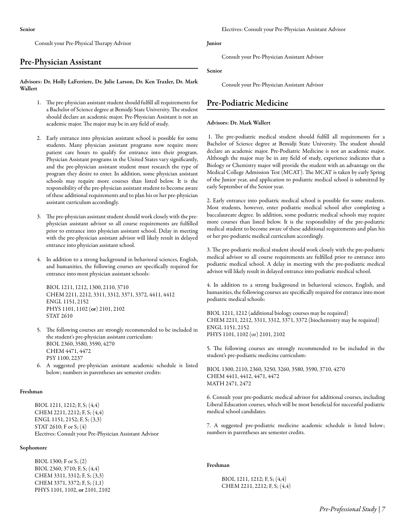Consult your Pre-Physical Therapy Advisor

# Pre-Physician Assistant

Advisors: Dr. Holly LaFerriere, Dr. Julie Larson, Dr. Ken Traxler, Dr. Mark Wallert

- 1. The pre-physician assistant student should fulfill all requirements for a Bachelor of Science degree at Bemidji State University. The student should declare an academic major. Pre-Physician Assistant is not an academic major. The major may be in any field of study.
- 2. Early entrance into physician assistant school is possible for some students. Many physician assistant programs now require more patient care hours to qualify for entrance into their program. Physician Assistant programs in the United States vary significantly, and the pre-physician assistant student must research the type of program they desire to enter. In addition, some physician assistant schools may require more courses than listed below. It is the responsibility of the pre-physician assistant student to become aware of these additional requirements and to plan his or her pre-physician assistant curriculum accordingly.
- 3. The pre-physician assistant student should work closely with the prephysician assistant advisor so all course requirements are fulfilled prior to entrance into physician assistant school. Delay in meeting with the pre-physician assistant advisor will likely result in delayed entrance into physician assistant school.
- 4. In addition to a strong background in behavioral sciences, English, and humanities, the following courses are specifically required for entrance into most physician assistant schools:

BIOL 1211, 1212, 1300, 2110, 3710 CHEM 2211, 2212, 3311, 3312, 3371, 3372, 4411, 4412 ENGL 1151, 2152 PHYS 1101, 1102 (or) 2101, 2102 STAT 2610

- 5. The following courses are strongly recommended to be included in the student's pre-physician assistant curriculum: BIOL 2360, 3580, 3590, 4270 CHEM 4471, 4472 PSY 1100, 2237
- 6. A suggested pre-physician assistant academic schedule is listed below; numbers in parentheses are semester credits:

### Freshman

BIOL 1211, 1212; F, S; (4,4) CHEM 2211, 2212; F, S; (4,4) ENGL 1151, 2152; F, S; (3,3) STAT 2610; F or S; (4) Electives: Consult your Pre-Physician Assistant Advisor

### Sophomore

BIOL 1300; F or S; (2) BIOL 2360, 3710; F, S; (4,4) CHEM 3311, 3312; F, S; (3,3) CHEM 3371, 3372; F, S; (1,1) PHYS 1101, 1102, or 2101, 2102

# Junior

Consult your Pre-Physician Assistant Advisor

#### Senior

Consult your Pre-Physician Assistant Advisor

# Pre-Podiatric Medicine

# Advisors: Dr. Mark Wallert

1. The pre-podiatric medical student should fulfill all requirements for a Bachelor of Science degree at Bemidji State University. The student should declare an academic major. Pre-Podiatric Medicine is not an academic major. Although the major may be in any field of study, experience indicates that a Biology or Chemistry major will provide the student with an advantage on the Medical College Admission Test (MCAT). The MCAT is taken by early Spring of the Junior year, and application to podiatric medical school is submitted by early September of the Senior year.

2. Early entrance into podiatric medical school is possible for some students. Most students, however, enter podiatric medical school after completing a baccalaureate degree. In addition, some podiatric medical schools may require more courses than listed below. It is the responsibility of the pre-podiatric medical student to become aware of these additional requirements and plan his or her pre-podiatric medical curriculum accordingly.

3. The pre-podiatric medical student should work closely with the pre-podiatric medical advisor so all course requirements are fulfilled prior to entrance into podiatric medical school. A delay in meeting with the pre-podiatric medical advisor will likely result in delayed entrance into podiatric medical school.

4. In addition to a strong background in behavioral sciences, English, and humanities, the following courses are specifically required for entrance into most podiatric medical schools:

BIOL 1211, 1212 (additional biology courses may be required) CHEM 2211, 2212, 3311, 3312, 3371, 3372 (biochemistry may be required) ENGL 1151, 2152 PHYS 1101, 1102 (or) 2101, 2102

5. The following courses are strongly recommended to be included in the student's pre-podiatric medicine curriculum:

BIOL 1300, 2110, 2360, 3250, 3260, 3580, 3590, 3710, 4270 CHEM 4411, 4412, 4471, 4472 MATH 2471, 2472

6. Consult your pre-podiatric medical advisor for additional courses, including Liberal Education courses, which will be most beneficial for successful podiatric medical school candidates.

7. A suggested pre-podiatric medicine academic schedule is listed below; numbers in parentheses are semester credits.

# Freshman

BIOL 1211, 1212; F, S; (4,4) CHEM 2211, 2212; F, S; (4,4)